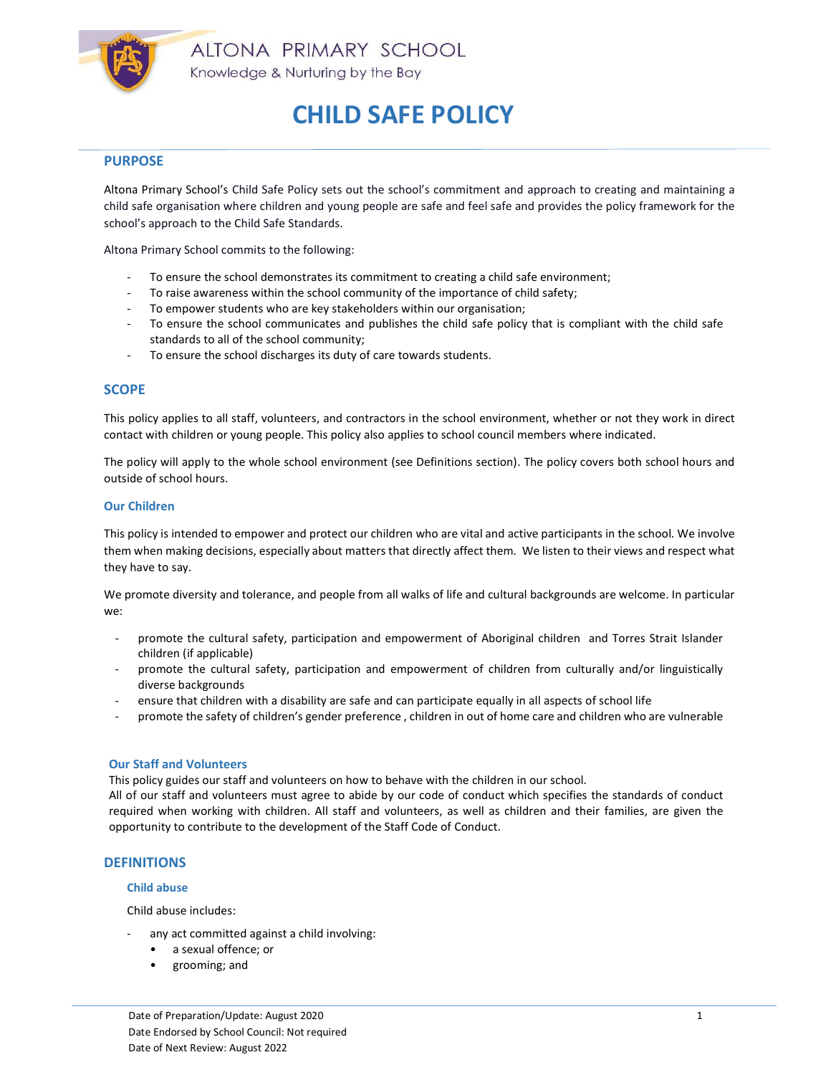

# **PURPOSE**

Altona Primary School's Child Safe Policy sets out the school's commitment and approach to creating and maintaining a child safe organisation where children and young people are safe and feel safe and provides the policy framework for the school's approach to the Child Safe Standards.

Altona Primary School commits to the following:

- To ensure the school demonstrates its commitment to creating a child safe environment;
- To raise awareness within the school community of the importance of child safety;
- To empower students who are key stakeholders within our organisation;
- To ensure the school communicates and publishes the child safe policy that is compliant with the child safe standards to all of the school community;
- To ensure the school discharges its duty of care towards students.

## **SCOPE**

This policy applies to all staff, volunteers, and contractors in the school environment, whether or not they work in direct contact with children or young people. This policy also applies to school council members where indicated.

The policy will apply to the whole school environment (see Definitions section). The policy covers both school hours and outside of school hours.

### Our Children

This policy is intended to empower and protect our children who are vital and active participants in the school. We involve them when making decisions, especially about matters that directly affect them. We listen to their views and respect what they have to say.

We promote diversity and tolerance, and people from all walks of life and cultural backgrounds are welcome. In particular we:

- promote the cultural safety, participation and empowerment of Aboriginal children and Torres Strait Islander children (if applicable)
- promote the cultural safety, participation and empowerment of children from culturally and/or linguistically diverse backgrounds
- ensure that children with a disability are safe and can participate equally in all aspects of school life
- promote the safety of children's gender preference , children in out of home care and children who are vulnerable

#### Our Staff and Volunteers

This policy guides our staff and volunteers on how to behave with the children in our school.

All of our staff and volunteers must agree to abide by our code of conduct which specifies the standards of conduct required when working with children. All staff and volunteers, as well as children and their families, are given the opportunity to contribute to the development of the Staff Code of Conduct.

# **DEFINITIONS**

### Child abuse

Child abuse includes:

- any act committed against a child involving:
	- a sexual offence; or
	- grooming; and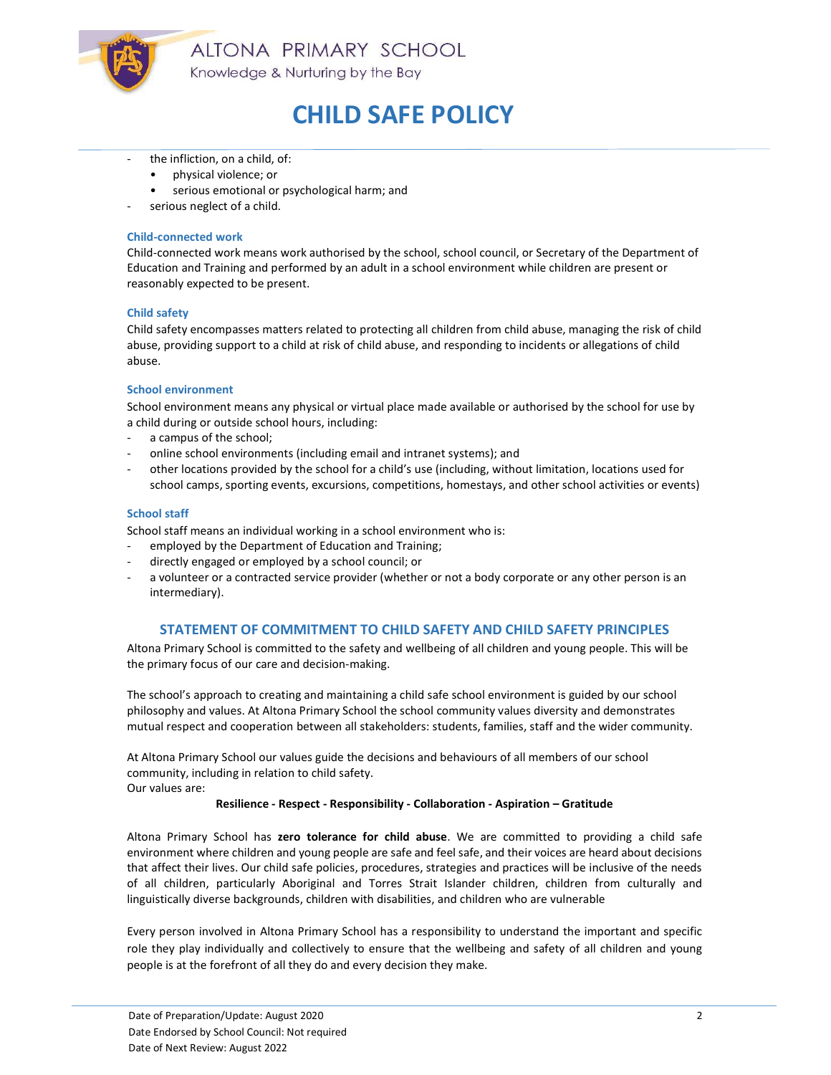

ALTONA PRIMARY SCHOOL Knowledge & Nurturing by the Bay

# CHILD SAFE POLICY

- the infliction, on a child, of:
	- physical violence; or
	- serious emotional or psychological harm; and
- serious neglect of a child.

### Child-connected work

Child-connected work means work authorised by the school, school council, or Secretary of the Department of Education and Training and performed by an adult in a school environment while children are present or reasonably expected to be present.

### Child safety

Child safety encompasses matters related to protecting all children from child abuse, managing the risk of child abuse, providing support to a child at risk of child abuse, and responding to incidents or allegations of child abuse.

### School environment

School environment means any physical or virtual place made available or authorised by the school for use by a child during or outside school hours, including:

- a campus of the school;
- online school environments (including email and intranet systems); and
- other locations provided by the school for a child's use (including, without limitation, locations used for school camps, sporting events, excursions, competitions, homestays, and other school activities or events)

### School staff

School staff means an individual working in a school environment who is:

- employed by the Department of Education and Training;
- directly engaged or employed by a school council; or
- a volunteer or a contracted service provider (whether or not a body corporate or any other person is an intermediary).

### STATEMENT OF COMMITMENT TO CHILD SAFETY AND CHILD SAFETY PRINCIPLES

Altona Primary School is committed to the safety and wellbeing of all children and young people. This will be the primary focus of our care and decision-making.

The school's approach to creating and maintaining a child safe school environment is guided by our school philosophy and values. At Altona Primary School the school community values diversity and demonstrates mutual respect and cooperation between all stakeholders: students, families, staff and the wider community.

At Altona Primary School our values guide the decisions and behaviours of all members of our school community, including in relation to child safety. Our values are:

#### Resilience - Respect - Responsibility - Collaboration - Aspiration – Gratitude

Altona Primary School has zero tolerance for child abuse. We are committed to providing a child safe environment where children and young people are safe and feel safe, and their voices are heard about decisions that affect their lives. Our child safe policies, procedures, strategies and practices will be inclusive of the needs of all children, particularly Aboriginal and Torres Strait Islander children, children from culturally and linguistically diverse backgrounds, children with disabilities, and children who are vulnerable

Every person involved in Altona Primary School has a responsibility to understand the important and specific role they play individually and collectively to ensure that the wellbeing and safety of all children and young people is at the forefront of all they do and every decision they make.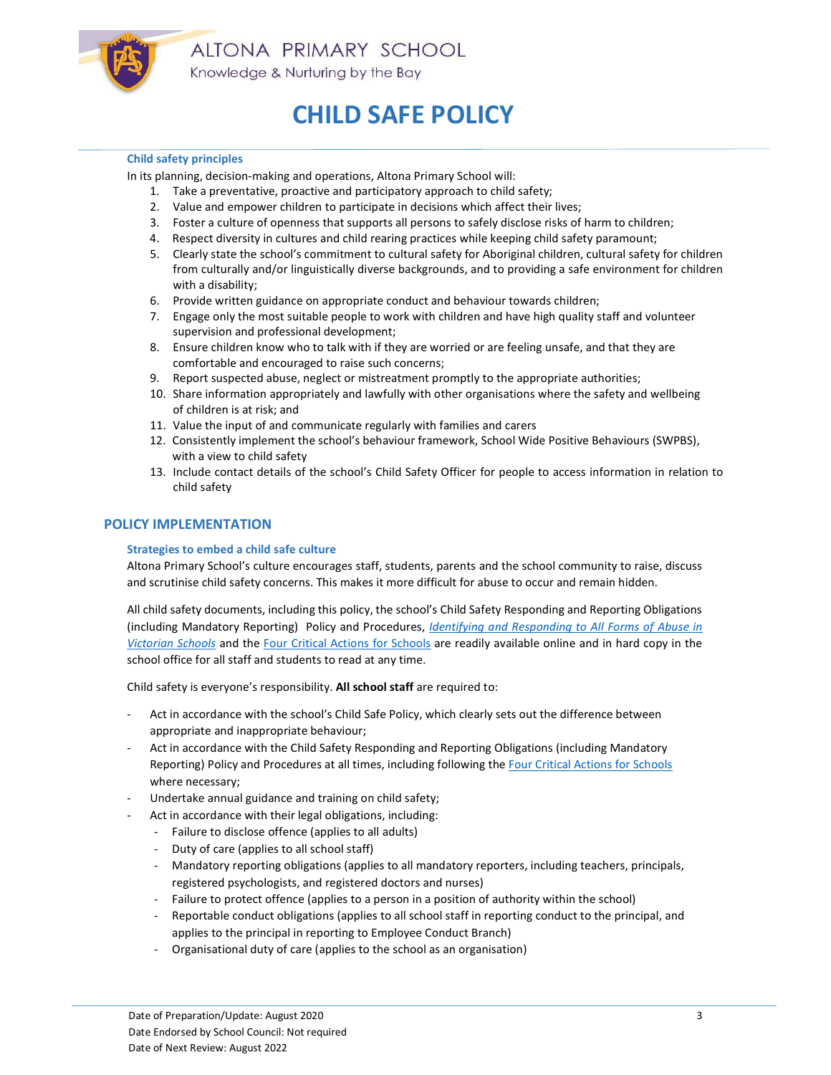

## Child safety principles

In its planning, decision-making and operations, Altona Primary School will:

- 1. Take a preventative, proactive and participatory approach to child safety;
- 2. Value and empower children to participate in decisions which affect their lives;
- 3. Foster a culture of openness that supports all persons to safely disclose risks of harm to children;
- 4. Respect diversity in cultures and child rearing practices while keeping child safety paramount;
- 5. Clearly state the school's commitment to cultural safety for Aboriginal children, cultural safety for children from culturally and/or linguistically diverse backgrounds, and to providing a safe environment for children with a disability;
- 6. Provide written guidance on appropriate conduct and behaviour towards children;
- 7. Engage only the most suitable people to work with children and have high quality staff and volunteer supervision and professional development;
- 8. Ensure children know who to talk with if they are worried or are feeling unsafe, and that they are comfortable and encouraged to raise such concerns;
- 9. Report suspected abuse, neglect or mistreatment promptly to the appropriate authorities;
- 10. Share information appropriately and lawfully with other organisations where the safety and wellbeing of children is at risk; and
- 11. Value the input of and communicate regularly with families and carers
- 12. Consistently implement the school's behaviour framework, School Wide Positive Behaviours (SWPBS), with a view to child safety
- 13. Include contact details of the school's Child Safety Officer for people to access information in relation to child safety

# POLICY IMPLEMENTATION

# Strategies to embed a child safe culture

Altona Primary School's culture encourages staff, students, parents and the school community to raise, discuss and scrutinise child safety concerns. This makes it more difficult for abuse to occur and remain hidden.

All child safety documents, including this policy, the school's Child Safety Responding and Reporting Obligations (including Mandatory Reporting) Policy and Procedures, Identifying and Responding to All Forms of Abuse in Victorian Schools and the Four Critical Actions for Schools are readily available online and in hard copy in the school office for all staff and students to read at any time.

Child safety is everyone's responsibility. All school staff are required to:

- Act in accordance with the school's Child Safe Policy, which clearly sets out the difference between appropriate and inappropriate behaviour;
- Act in accordance with the Child Safety Responding and Reporting Obligations (including Mandatory Reporting) Policy and Procedures at all times, including following the Four Critical Actions for Schools where necessary;
- Undertake annual guidance and training on child safety;
- Act in accordance with their legal obligations, including:
	- Failure to disclose offence (applies to all adults)
	- Duty of care (applies to all school staff)
	- Mandatory reporting obligations (applies to all mandatory reporters, including teachers, principals, registered psychologists, and registered doctors and nurses)
	- Failure to protect offence (applies to a person in a position of authority within the school)
	- Reportable conduct obligations (applies to all school staff in reporting conduct to the principal, and applies to the principal in reporting to Employee Conduct Branch)
	- Organisational duty of care (applies to the school as an organisation)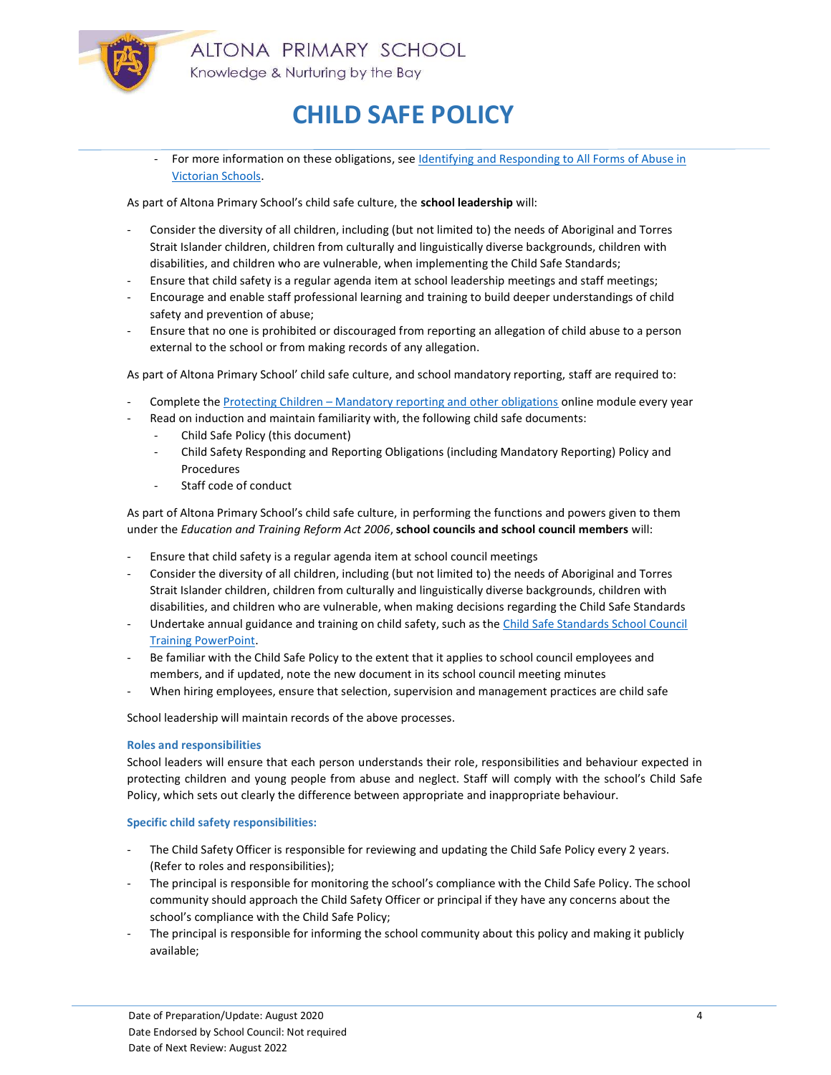

For more information on these obligations, see Identifying and Responding to All Forms of Abuse in Victorian Schools.

As part of Altona Primary School's child safe culture, the school leadership will:

- Consider the diversity of all children, including (but not limited to) the needs of Aboriginal and Torres Strait Islander children, children from culturally and linguistically diverse backgrounds, children with disabilities, and children who are vulnerable, when implementing the Child Safe Standards;
- Ensure that child safety is a regular agenda item at school leadership meetings and staff meetings;
- Encourage and enable staff professional learning and training to build deeper understandings of child safety and prevention of abuse;
- Ensure that no one is prohibited or discouraged from reporting an allegation of child abuse to a person external to the school or from making records of any allegation.

As part of Altona Primary School' child safe culture, and school mandatory reporting, staff are required to:

- Complete the Protecting Children Mandatory reporting and other obligations online module every year
- Read on induction and maintain familiarity with, the following child safe documents:
	- Child Safe Policy (this document)
	- Child Safety Responding and Reporting Obligations (including Mandatory Reporting) Policy and Procedures
	- Staff code of conduct

As part of Altona Primary School's child safe culture, in performing the functions and powers given to them under the Education and Training Reform Act 2006, school councils and school council members will:

- Ensure that child safety is a regular agenda item at school council meetings
- Consider the diversity of all children, including (but not limited to) the needs of Aboriginal and Torres Strait Islander children, children from culturally and linguistically diverse backgrounds, children with disabilities, and children who are vulnerable, when making decisions regarding the Child Safe Standards
- Undertake annual guidance and training on child safety, such as the Child Safe Standards School Council Training PowerPoint.
- Be familiar with the Child Safe Policy to the extent that it applies to school council employees and members, and if updated, note the new document in its school council meeting minutes
- When hiring employees, ensure that selection, supervision and management practices are child safe

School leadership will maintain records of the above processes.

### Roles and responsibilities

School leaders will ensure that each person understands their role, responsibilities and behaviour expected in protecting children and young people from abuse and neglect. Staff will comply with the school's Child Safe Policy, which sets out clearly the difference between appropriate and inappropriate behaviour.

### Specific child safety responsibilities:

- The Child Safety Officer is responsible for reviewing and updating the Child Safe Policy every 2 years. (Refer to roles and responsibilities);
- The principal is responsible for monitoring the school's compliance with the Child Safe Policy. The school community should approach the Child Safety Officer or principal if they have any concerns about the school's compliance with the Child Safe Policy;
- The principal is responsible for informing the school community about this policy and making it publicly available;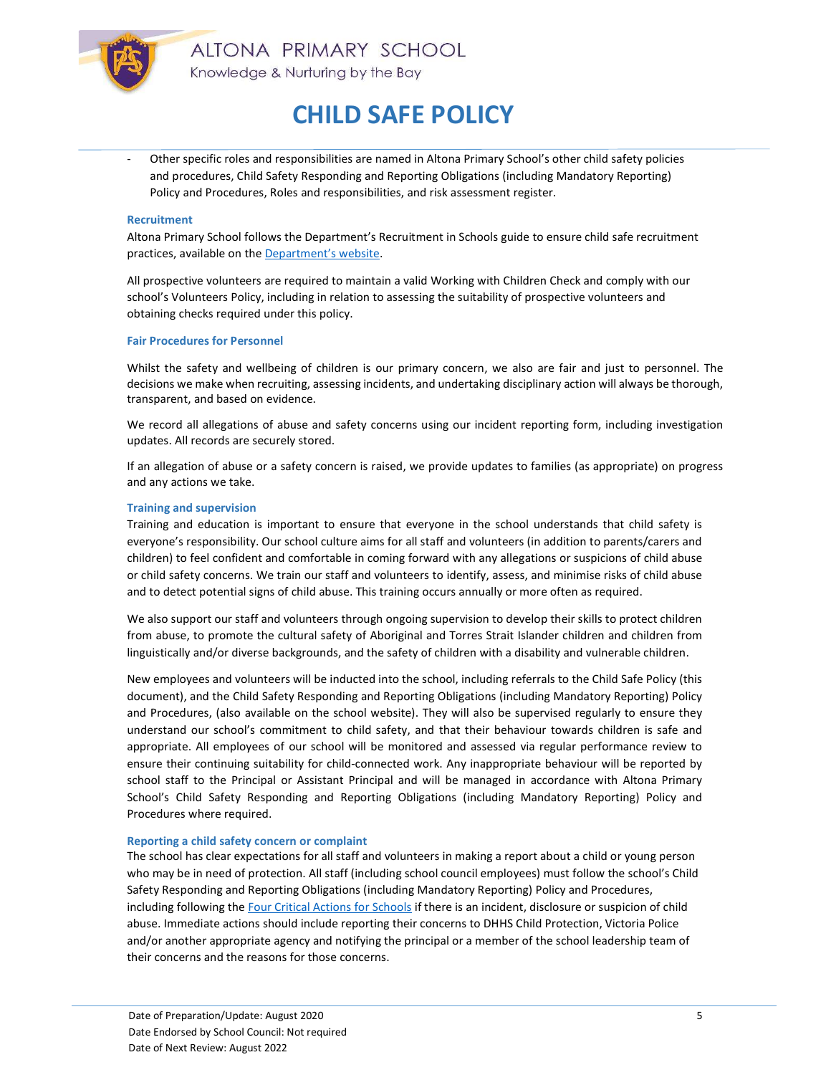

- Other specific roles and responsibilities are named in Altona Primary School's other child safety policies and procedures, Child Safety Responding and Reporting Obligations (including Mandatory Reporting) Policy and Procedures, Roles and responsibilities, and risk assessment register.

### Recruitment

Altona Primary School follows the Department's Recruitment in Schools guide to ensure child safe recruitment practices, available on the Department's website.

All prospective volunteers are required to maintain a valid Working with Children Check and comply with our school's Volunteers Policy, including in relation to assessing the suitability of prospective volunteers and obtaining checks required under this policy.

#### Fair Procedures for Personnel

Whilst the safety and wellbeing of children is our primary concern, we also are fair and just to personnel. The decisions we make when recruiting, assessing incidents, and undertaking disciplinary action will always be thorough, transparent, and based on evidence.

We record all allegations of abuse and safety concerns using our incident reporting form, including investigation updates. All records are securely stored.

If an allegation of abuse or a safety concern is raised, we provide updates to families (as appropriate) on progress and any actions we take.

#### Training and supervision

Training and education is important to ensure that everyone in the school understands that child safety is everyone's responsibility. Our school culture aims for all staff and volunteers (in addition to parents/carers and children) to feel confident and comfortable in coming forward with any allegations or suspicions of child abuse or child safety concerns. We train our staff and volunteers to identify, assess, and minimise risks of child abuse and to detect potential signs of child abuse. This training occurs annually or more often as required.

We also support our staff and volunteers through ongoing supervision to develop their skills to protect children from abuse, to promote the cultural safety of Aboriginal and Torres Strait Islander children and children from linguistically and/or diverse backgrounds, and the safety of children with a disability and vulnerable children.

New employees and volunteers will be inducted into the school, including referrals to the Child Safe Policy (this document), and the Child Safety Responding and Reporting Obligations (including Mandatory Reporting) Policy and Procedures, (also available on the school website). They will also be supervised regularly to ensure they understand our school's commitment to child safety, and that their behaviour towards children is safe and appropriate. All employees of our school will be monitored and assessed via regular performance review to ensure their continuing suitability for child-connected work. Any inappropriate behaviour will be reported by school staff to the Principal or Assistant Principal and will be managed in accordance with Altona Primary School's Child Safety Responding and Reporting Obligations (including Mandatory Reporting) Policy and Procedures where required.

#### Reporting a child safety concern or complaint

The school has clear expectations for all staff and volunteers in making a report about a child or young person who may be in need of protection. All staff (including school council employees) must follow the school's Child Safety Responding and Reporting Obligations (including Mandatory Reporting) Policy and Procedures, including following the Four Critical Actions for Schools if there is an incident, disclosure or suspicion of child abuse. Immediate actions should include reporting their concerns to DHHS Child Protection, Victoria Police and/or another appropriate agency and notifying the principal or a member of the school leadership team of their concerns and the reasons for those concerns.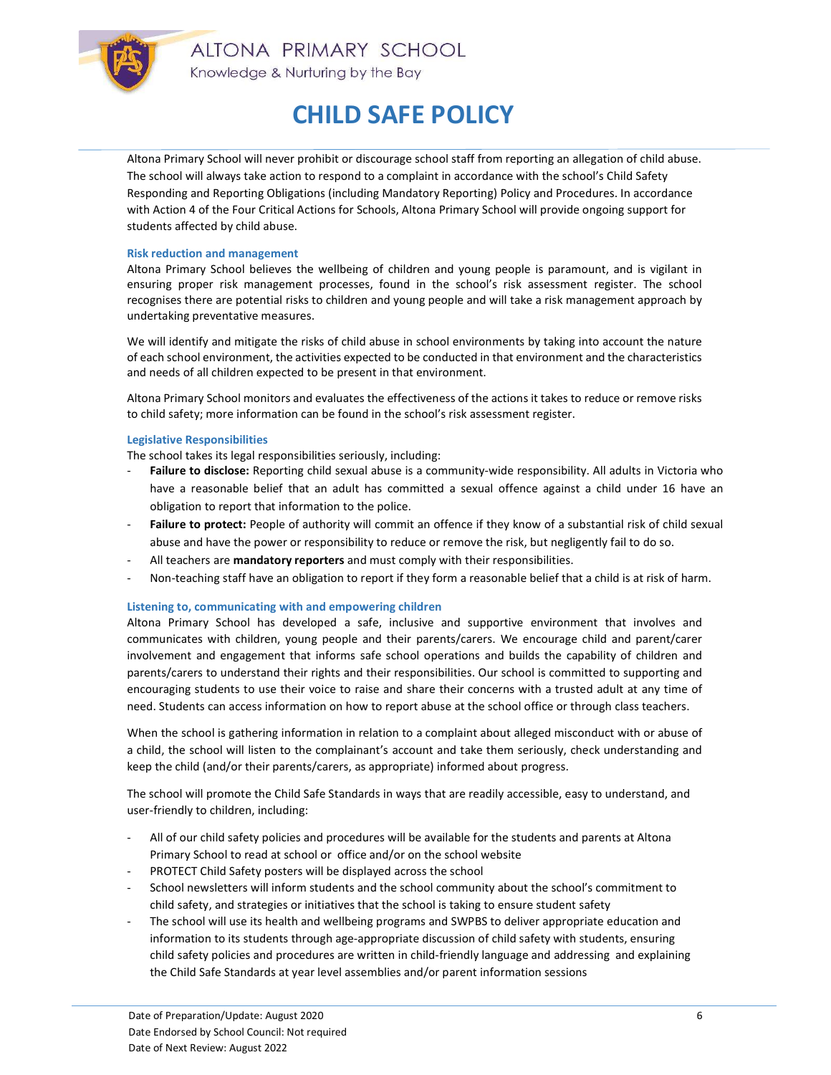

ALTONA PRIMARY SCHOOL Knowledge & Nurturing by the Bay

# CHILD SAFE POLICY

Altona Primary School will never prohibit or discourage school staff from reporting an allegation of child abuse. The school will always take action to respond to a complaint in accordance with the school's Child Safety Responding and Reporting Obligations (including Mandatory Reporting) Policy and Procedures. In accordance with Action 4 of the Four Critical Actions for Schools, Altona Primary School will provide ongoing support for students affected by child abuse.

### Risk reduction and management

Altona Primary School believes the wellbeing of children and young people is paramount, and is vigilant in ensuring proper risk management processes, found in the school's risk assessment register. The school recognises there are potential risks to children and young people and will take a risk management approach by undertaking preventative measures.

We will identify and mitigate the risks of child abuse in school environments by taking into account the nature of each school environment, the activities expected to be conducted in that environment and the characteristics and needs of all children expected to be present in that environment.

Altona Primary School monitors and evaluates the effectiveness of the actions it takes to reduce or remove risks to child safety; more information can be found in the school's risk assessment register.

### Legislative Responsibilities

The school takes its legal responsibilities seriously, including:

- Failure to disclose: Reporting child sexual abuse is a community-wide responsibility. All adults in Victoria who have a reasonable belief that an adult has committed a sexual offence against a child under 16 have an obligation to report that information to the police.
- Failure to protect: People of authority will commit an offence if they know of a substantial risk of child sexual abuse and have the power or responsibility to reduce or remove the risk, but negligently fail to do so.
- All teachers are mandatory reporters and must comply with their responsibilities.
- Non-teaching staff have an obligation to report if they form a reasonable belief that a child is at risk of harm.

### Listening to, communicating with and empowering children

Altona Primary School has developed a safe, inclusive and supportive environment that involves and communicates with children, young people and their parents/carers. We encourage child and parent/carer involvement and engagement that informs safe school operations and builds the capability of children and parents/carers to understand their rights and their responsibilities. Our school is committed to supporting and encouraging students to use their voice to raise and share their concerns with a trusted adult at any time of need. Students can access information on how to report abuse at the school office or through class teachers.

When the school is gathering information in relation to a complaint about alleged misconduct with or abuse of a child, the school will listen to the complainant's account and take them seriously, check understanding and keep the child (and/or their parents/carers, as appropriate) informed about progress.

The school will promote the Child Safe Standards in ways that are readily accessible, easy to understand, and user-friendly to children, including:

- All of our child safety policies and procedures will be available for the students and parents at Altona Primary School to read at school or office and/or on the school website
- PROTECT Child Safety posters will be displayed across the school
- School newsletters will inform students and the school community about the school's commitment to child safety, and strategies or initiatives that the school is taking to ensure student safety
- The school will use its health and wellbeing programs and SWPBS to deliver appropriate education and information to its students through age-appropriate discussion of child safety with students, ensuring child safety policies and procedures are written in child-friendly language and addressing and explaining the Child Safe Standards at year level assemblies and/or parent information sessions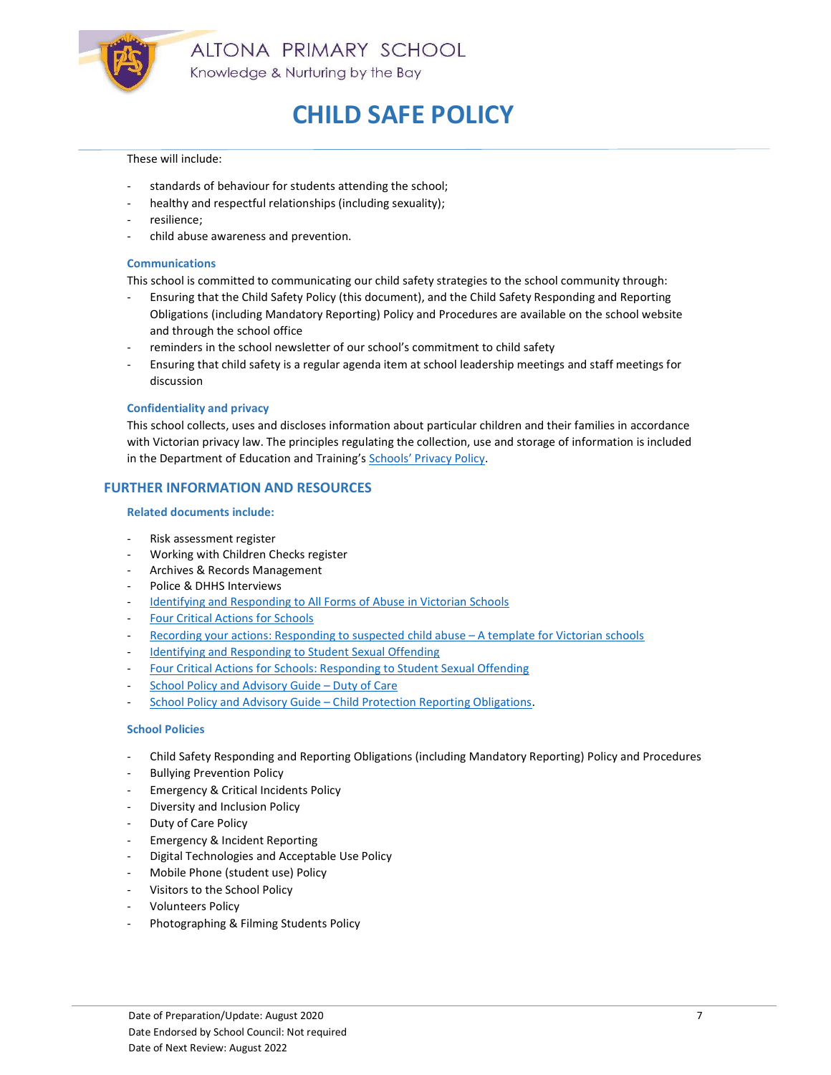

### These will include:

- standards of behaviour for students attending the school;
- healthy and respectful relationships (including sexuality);
- resilience:
- child abuse awareness and prevention.

### Communications

This school is committed to communicating our child safety strategies to the school community through:

- Ensuring that the Child Safety Policy (this document), and the Child Safety Responding and Reporting Obligations (including Mandatory Reporting) Policy and Procedures are available on the school website and through the school office
- reminders in the school newsletter of our school's commitment to child safety
- Ensuring that child safety is a regular agenda item at school leadership meetings and staff meetings for discussion

### Confidentiality and privacy

This school collects, uses and discloses information about particular children and their families in accordance with Victorian privacy law. The principles regulating the collection, use and storage of information is included in the Department of Education and Training's Schools' Privacy Policy.

# FURTHER INFORMATION AND RESOURCES

### Related documents include:

- Risk assessment register
- Working with Children Checks register
- Archives & Records Management
- Police & DHHS Interviews
- Identifying and Responding to All Forms of Abuse in Victorian Schools
- Four Critical Actions for Schools
- Recording your actions: Responding to suspected child abuse A template for Victorian schools
- Identifying and Responding to Student Sexual Offending
- Four Critical Actions for Schools: Responding to Student Sexual Offending
- School Policy and Advisory Guide Duty of Care
- School Policy and Advisory Guide Child Protection Reporting Obligations.

### School Policies

- Child Safety Responding and Reporting Obligations (including Mandatory Reporting) Policy and Procedures
- **Bullying Prevention Policy**
- Emergency & Critical Incidents Policy
- Diversity and Inclusion Policy
- Duty of Care Policy
- Emergency & Incident Reporting
- Digital Technologies and Acceptable Use Policy
- Mobile Phone (student use) Policy
- Visitors to the School Policy
- Volunteers Policy
- Photographing & Filming Students Policy